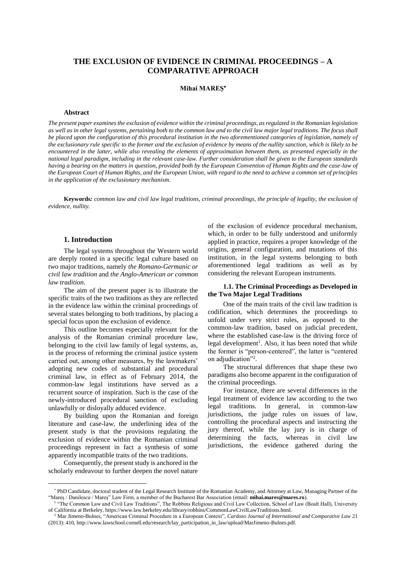# **THE EXCLUSION OF EVIDENCE IN CRIMINAL PROCEEDINGS – A COMPARATIVE APPROACH**

### **Mihai MAREȘ**

#### **Abstract**

*The present paper examines the exclusion of evidence within the criminal proceedings, as regulated in the Romanian legislation as well as in other legal systems, pertaining both to the common law and to the civil law major legal traditions. The focus shall be placed upon the configuration of this procedural institution in the two aforementioned categories of legislation, namely of the exclusionary rule specific to the former and the exclusion of evidence by means of the nullity sanction, which is likely to be encountered in the latter, while also revealing the elements of approximation between them, as presented especially in the national legal paradigm, including in the relevant case-law. Further consideration shall be given to the European standards having a bearing on the matters in question, provided both by the European Convention of Human Rights and the case-law of the European Court of Human Rights, and the European Union, with regard to the need to achieve a common set of principles in the application of the exclusionary mechanism.* 

**Keywords***: common law and civil law legal traditions, criminal proceedings, the principle of legality, the exclusion of evidence, nullity.* 

### **1. Introduction**

The legal systems throughout the Western world are deeply rooted in a specific legal culture based on two major traditions, namely *the Romano-Germanic or civil law tradition* and *the Anglo-American or common law tradition*.

The aim of the present paper is to illustrate the specific traits of the two traditions as they are reflected in the evidence law within the criminal proceedings of several states belonging to both traditions, by placing a special focus upon the exclusion of evidence.

This outline becomes especially relevant for the analysis of the Romanian criminal procedure law, belonging to the civil law family of legal systems, as, in the process of reforming the criminal justice system carried out, among other measures, by the lawmakers' adopting new codes of substantial and procedural criminal law, in effect as of February 2014, the common-law legal institutions have served as a recurrent source of inspiration. Such is the case of the newly-introduced procedural sanction of excluding unlawfully or disloyally adduced evidence.

By building upon the Romanian and foreign literature and case-law, the underlining idea of the present study is that the provisions regulating the exclusion of evidence within the Romanian criminal proceedings represent in fact a synthesis of some apparently incompatible traits of the two traditions.

Consequently, the present study is anchored in the scholarly endeavour to further deepen the novel nature of the exclusion of evidence procedural mechanism, which, in order to be fully understood and uniformly applied in practice, requires a proper knowledge of the origins, general configuration, and mutations of this institution, in the legal systems belonging to both aforementioned legal traditions as well as by considering the relevant European instruments.

### **1.1. The Criminal Proceedings as Developed in the Two Major Legal Traditions**

One of the main traits of the civil law tradition is codification, which determines the proceedings to unfold under very strict rules, as opposed to the common-law tradition, based on judicial precedent, where the established case-law is the driving force of legal development<sup>1</sup>. Also, it has been noted that while the former is "person-centered", the latter is "centered on adjudication"<sup>2</sup> .

The structural differences that shape these two paradigms also become apparent in the configuration of the criminal proceedings.

For instance, there are several differences in the legal treatment of evidence law according to the two legal traditions. In general, in common-law jurisdictions, the judge rules on issues of law, controlling the procedural aspects and instructing the jury thereof, while the lay jury is in charge of determining the facts, whereas in civil law jurisdictions, the evidence gathered during the

<sup>\*</sup> PhD Candidate, doctoral student of the Legal Research Institute of the Romanian Academy, and Attorney at Law, Managing Partner of the "Mareș / Danilescu / Mareș" Law Firm, a member of the Bucharest Bar Association (email: **mihai.mares@mares.ro**).

<sup>&</sup>lt;sup>1</sup> "The Common Law and Civil Law Traditions", The Robbins Religious and Civil Law Collection, School of Law (Boalt Hall), University of California at Berkeley, https://www.law.berkeley.edu/library/robbins/CommonLawCivilLawTraditions.html.

<sup>2</sup> Mar Jimeno-Bulnes, "American Criminal Procedure in a European Context", *Cardozo Journal of International and Comparative Law* 21 (2013): 410, http://www.lawschool.cornell.edu/research/lay\_participation\_in\_law/upload/MarJimeno-Bulnes.pdf.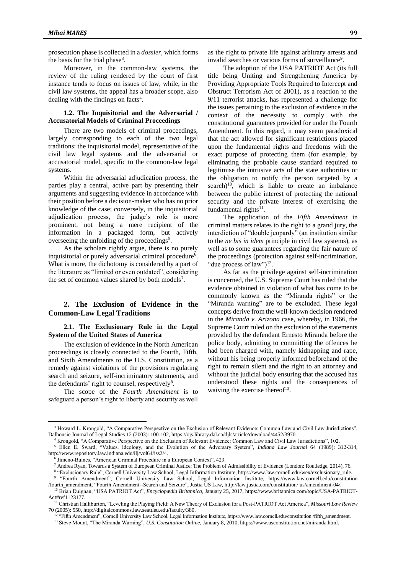prosecution phase is collected in a *dossier*, which forms the basis for the trial phase<sup>3</sup>.

Moreover, in the common-law systems, the review of the ruling rendered by the court of first instance tends to focus on issues of law, while, in the civil law systems, the appeal has a broader scope, also dealing with the findings on facts<sup>4</sup>.

### **1.2. The Inquisitorial and the Adversarial / Accusatorial Models of Criminal Proceedings**

There are two models of criminal proceedings, largely corresponding to each of the two legal traditions: the inquisitorial model, representative of the civil law legal systems and the adversarial or accusatorial model, specific to the common-law legal systems.

Within the adversarial adjudication process, the parties play a central, active part by presenting their arguments and suggesting evidence in accordance with their position before a decision-maker who has no prior knowledge of the case; conversely, in the inquisitorial adjudication process, the judge's role is more prominent, not being a mere recipient of the information in a packaged form, but actively overseeing the unfolding of the proceedings<sup>5</sup>.

As the scholars rightly argue, there is no purely inquisitorial or purely adversarial criminal procedure<sup>6</sup>. What is more, the dichotomy is considered by a part of the literature as "limited or even outdated", considering the set of common values shared by both models<sup>7</sup>.

## **2. The Exclusion of Evidence in the Common-Law Legal Traditions**

#### **2.1. The Exclusionary Rule in the Legal System of the United States of America**

The exclusion of evidence in the North American proceedings is closely connected to the Fourth, Fifth, and Sixth Amendments to the U.S. Constitution, as a remedy against violations of the provisions regulating search and seizure, self-incriminatory statements, and the defendants' right to counsel, respectively<sup>8</sup>.

The scope of the *Fourth Amendment* is to safeguard a person's right to liberty and security as well

 $\overline{a}$ 

as the right to private life against arbitrary arrests and invalid searches or various forms of surveillance<sup>9</sup>.

The adoption of the USA PATRIOT Act (its full title being Uniting and Strengthening America by Providing Appropriate Tools Required to Intercept and Obstruct Terrorism Act of 2001), as a reaction to the 9/11 terrorist attacks, has represented a challenge for the issues pertaining to the exclusion of evidence in the context of the necessity to comply with the constitutional guarantees provided for under the Fourth Amendment. In this regard, it may seem paradoxical that the act allowed for significant restrictions placed upon the fundamental rights and freedoms with the exact purpose of protecting them (for example, by eliminating the probable cause standard required to legitimise the intrusive acts of the state authorities or the obligation to notify the person targeted by a search)<sup>10</sup>, which is liable to create an imbalance between the public interest of protecting the national security and the private interest of exercising the fundamental rights $^{11}$ .

The application of the *Fifth Amendment* in criminal matters relates to the right to a grand jury, the interdiction of "double jeopardy" (an institution similar to the *ne bis in idem* principle in civil law systems), as well as to some guarantees regarding the fair nature of the proceedings (protection against self-incrimination, "due process of  $law$ ")<sup>12</sup>.

As far as the privilege against self-incrimination is concerned, the U.S. Supreme Court has ruled that the evidence obtained in violation of what has come to be commonly known as the "Miranda rights" or the "Miranda warning" are to be excluded. These legal concepts derive from the well-known decision rendered in the *Miranda v. Arizona* case, whereby, in 1966, the Supreme Court ruled on the exclusion of the statements provided by the defendant Ernesto Miranda before the police body, admitting to committing the offences he had been charged with, namely kidnapping and rape, without his being properly informed beforehand of the right to remain silent and the right to an attorney and without the judicial body ensuring that the accused has understood these rights and the consequences of waiving the exercise thereof<sup>13</sup>.

<sup>&</sup>lt;sup>3</sup> Howard L. Krongold, "A Comparative Perspective on the Exclusion of Relevant Evidence: Common Law and Civil Law Jurisdictions", Dalhousie Journal of Legal Studies 12 (2003): 100-102, https://ojs.library.dal.ca/djls/article/download/4452/3970.

<sup>4</sup> Krongold, "A Comparative Perspective on the Exclusion of Relevant Evidence: Common Law and Civil Law Jurisdictions", 102.

<sup>5</sup> Ellen E. Sward, "Values, Ideology, and the Evolution of the Adversary System", *Indiana Law Journal* 64 (1989): 312-314, http://www.repository.law.indiana.edu/ilj/vol64/iss2/4.

<sup>6</sup> Jimeno-Bulnes, "American Criminal Procedure in a European Context", 423.

<sup>7</sup> Andrea Ryan, Towards a System of European Criminal Justice: The Problem of Admissibility of Evidence (London: Routledge, 2014), 76.

<sup>8</sup> "Exclusionary Rule", Cornell University Law School, Legal Information Institute, https://www.law.cornell.edu/wex/exclusionary\_rule. 9 "Fourth Amendment", Cornell University Law School, Legal Information Institute, https://www.law.cornell.edu/constitution

<sup>/</sup>fourth\_amendment; "Fourth Amendment--Search and Seizure", Justia US Law, http://law.justia.com/constitution/ us/amendment-04/. <sup>10</sup> Brian Duignan, "USA PATRIOT Act", *Encyclopædia Britannica*, January 25, 2017, https://www.britannica.com/topic/USA-PATRIOT-Act#ref1123177.

<sup>11</sup> Christian Halliburton, "Leveling the Playing Field: A New Theory of Exclusion for a Post-PATRIOT Act America", *Missouri Law Review* 70 (2005): 550, http://digitalcommons.law.seattleu.edu/faculty/380.

<sup>&</sup>lt;sup>12</sup> "Fifth Amendment", Cornell University Law School, Legal Information Institute, https://www.law.cornell.edu/constitution /fifth\_amendment.

<sup>13</sup> Steve Mount, "The Miranda Warning", *U.S. Constitution Online,* January 8, 2010, https://www.usconstitution.net/miranda.html.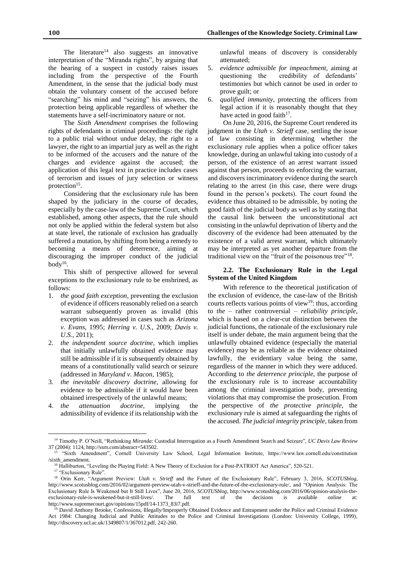The literature<sup>14</sup> also suggests an innovative interpretation of the "Miranda rights", by arguing that the hearing of a suspect in custody raises issues including from the perspective of the Fourth Amendment, in the sense that the judicial body must obtain the voluntary consent of the accused before "searching" his mind and "seizing" his answers, the protection being applicable regardless of whether the statements have a self-incriminatory nature or not.

The *Sixth Amendment* comprises the following rights of defendants in criminal proceedings: the right to a public trial without undue delay, the right to a lawyer, the right to an impartial jury as well as the right to be informed of the accusers and the nature of the charges and evidence against the accused; the application of this legal text in practice includes cases of terrorism and issues of jury selection or witness protection<sup>15</sup>.

Considering that the exclusionary rule has been shaped by the judiciary in the course of decades, especially by the case-law of the Supreme Court, which established, among other aspects, that the rule should not only be applied within the federal system but also at state level, the rationale of exclusion has gradually suffered a mutation, by shifting from being a remedy to becoming a means of deterrence, aiming at discouraging the improper conduct of the judicial body $^{16}$ .

This shift of perspective allowed for several exceptions to the exclusionary rule to be enshrined, as follows:

- 1. *the good faith exception*, preventing the exclusion of evidence if officers reasonably relied on a search warrant subsequently proven as invalid (this exception was addressed in cases such as *Arizona v. Evans*, 1995; *Herring v. U.S.*, 2009; *Davis v. U.S.*, 2011);
- 2. *the independent source doctrine*, which implies that initially unlawfully obtained evidence may still be admissible if it is subsequently obtained by means of a constitutionally valid search or seizure (addressed in *Maryland v. Macon*, 1985);
- 3. *the inevitable discovery doctrine*, allowing for evidence to be admissible if it would have been obtained irrespectively of the unlawful means;
- 4. *the attenuation doctrine*, implying the admissibility of evidence if its relationship with the

unlawful means of discovery is considerably attenuated;

- 5. *evidence admissible for impeachment*, aiming at questioning the credibility of defendants' testimonies but which cannot be used in order to prove guilt; or
- 6. *qualified immunity*, protecting the officers from legal action if it is reasonably thought that they have acted in good faith $17$ .

On June 20, 2016, the Supreme Court rendered its judgment in the *Utah v. Strieff* case, settling the issue of law consisting in determining whether the exclusionary rule applies when a police officer takes knowledge, during an unlawful taking into custody of a person, of the existence of an arrest warrant issued against that person, proceeds to enforcing the warrant, and discovers incriminatory evidence during the search relating to the arrest (in this case, there were drugs found in the person's pockets). The court found the evidence thus obtained to be admissible, by noting the good faith of the judicial body as well as by stating that the causal link between the unconstitutional act consisting in the unlawful deprivation of liberty and the discovery of the evidence had been attenuated by the existence of a valid arrest warrant, which ultimately may be interpreted as yet another departure from the traditional view on the "fruit of the poisonous tree"<sup>18</sup>.

### **2.2. The Exclusionary Rule in the Legal System of the United Kingdom**

With reference to the theoretical justification of the exclusion of evidence, the case-law of the British courts reflects various points of view<sup>19</sup>: thus, according to *the* – rather controversial – *reliability principle*, which is based on a clear-cut distinction between the judicial functions, the rationale of the exclusionary rule itself is under debate, the main argument being that the unlawfully obtained evidence (especially the material evidence) may be as reliable as the evidence obtained lawfully, the evidentiary value being the same, regardless of the manner in which they were adduced. According to *the deterrence principle*, the purpose of the exclusionary rule is to increase accountability among the criminal investigation body, preventing violations that may compromise the prosecution. From the perspective of *the protective principle*, the exclusionary rule is aimed at safeguarding the rights of the accused. *The judicial integrity principle*, taken from

 $\overline{a}$ 

<sup>14</sup> Timothy P. O'Neill, "Rethinking *Miranda*: Custodial Interrogation as a Fourth Amendment Search and Seizure", *UC Davis Law Review* 37 (2004): 1124, http://ssrn.com/abstract=543502.

<sup>15</sup> "Sixth Amendment", Cornell University Law School, Legal Information Institute, https://www.law.cornell.edu/constitution /sixth\_amendment.

<sup>&</sup>lt;sup>16</sup> Halliburton, "Leveling the Playing Field: A New Theory of Exclusion for a Post-PATRIOT Act America", 520-521.

<sup>&</sup>lt;sup>17</sup> "Exclusionary Rule".

<sup>18</sup> Orin Kerr, "Argument Preview: *Utah v. Strieff* and the Future of the Exclusionary Rule", February 3, 2016, *SCOTUSblog*, http://www.scotusblog.com/2016/02/argument-preview-utah-v-strieff-and-the-future-of-the-exclusionary-rule/, and "Opinion Analysis: The Exclusionary Rule Is Weakened but It Still Lives", June 20, 2016, *SCOTUSblog*, http://www.scotusblog.com/2016/06/opinion-analysis-theexclusionary-rule-is-weakened-but-it-still-lives/. The full text of the decisions is available online at: http://www.supremecourt.gov/opinions/15pdf/14-1373\_83i7.pdf.

<sup>19</sup> David Anthony Brooke, Confessions, Illegally/Improperly Obtained Evidence and Entrapment under the Police and Criminal Evidence Act 1984: Changing Judicial and Public Attitudes to the Police and Criminal Investigations (London: University College, 1999), http://discovery.ucl.ac.uk/1349807/1/367012.pdf, 242-260.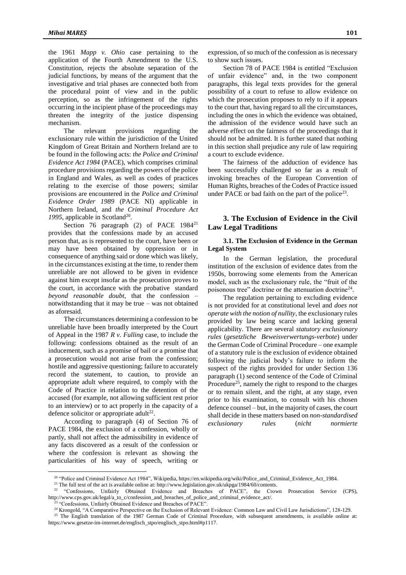the 1961 *Mapp v. Ohio* case pertaining to the application of the Fourth Amendment to the U.S. Constitution, rejects the absolute separation of the judicial functions, by means of the argument that the investigative and trial phases are connected both from the procedural point of view and in the public perception, so as the infringement of the rights occurring in the incipient phase of the proceedings may threaten the integrity of the justice dispensing mechanism.<br>The

relevant provisions regarding the exclusionary rule within the jurisdiction of the United Kingdom of Great Britain and Northern Ireland are to be found in the following acts: *the Police and Criminal Evidence Act 1984* (PACE), which comprises criminal procedure provisions regarding the powers of the police in England and Wales, as well as codes of practices relating to the exercise of those powers; similar provisions are encountered in the *Police and Criminal Evidence Order 1989* (PACE NI) applicable in Northern Ireland, and *the Criminal Procedure Act*  1995, applicable in Scotland<sup>20</sup>.

Section 76 paragraph (2) of PACE 1984<sup>21</sup> provides that the confessions made by an accused person that, as is represented to the court, have been or may have been obtained by oppression or in consequence of anything said or done which was likely, in the circumstances existing at the time, to render them unreliable are not allowed to be given in evidence against him except insofar as the prosecution proves to the court, in accordance with the probative standard *beyond reasonable doubt*, that the confession – notwithstanding that it may be true – was not obtained as aforesaid.

The circumstances determining a confession to be unreliable have been broadly interpreted by the Court of Appeal in the 1987 *R v. Fulling* case, to include the following: confessions obtained as the result of an inducement, such as a promise of bail or a promise that a prosecution would not arise from the confession; hostile and aggressive questioning; failure to accurately record the statement, to caution, to provide an appropriate adult where required, to comply with the Code of Practice in relation to the detention of the accused (for example, not allowing sufficient rest prior to an interview) or to act properly in the capacity of a defence solicitor or appropriate adult<sup>22</sup>.

According to paragraph (4) of Section 76 of PACE 1984, the exclusion of a confession, wholly or partly, shall not affect the admissibility in evidence of any facts discovered as a result of the confession or where the confession is relevant as showing the particularities of his way of speech, writing or

 $\overline{a}$ 

expression, of so much of the confession as is necessary to show such issues.

Section 78 of PACE 1984 is entitled "Exclusion of unfair evidence" and, in the two component paragraphs, this legal texts provides for the general possibility of a court to refuse to allow evidence on which the prosecution proposes to rely to if it appears to the court that, having regard to all the circumstances, including the ones in which the evidence was obtained, the admission of the evidence would have such an adverse effect on the fairness of the proceedings that it should not be admitted. It is further stated that nothing in this section shall prejudice any rule of law requiring a court to exclude evidence.

The fairness of the adduction of evidence has been successfully challenged so far as a result of invoking breaches of the European Convention of Human Rights, breaches of the Codes of Practice issued under PACE or bad faith on the part of the police<sup>23</sup>.

### **3. The Exclusion of Evidence in the Civil Law Legal Traditions**

### **3.1. The Exclusion of Evidence in the German Legal System**

In the German legislation, the procedural institution of the exclusion of evidence dates from the 1950s, borrowing some elements from the American model, such as the exclusionary rule, the "fruit of the poisonous tree" doctrine or the attenuation doctrine<sup>24</sup>.

The regulation pertaining to excluding evidence is not provided for at constitutional level and *does not operate with the notion of nullity*, the exclusionary rules provided by law being scarce and lacking general applicability. There are several *statutory exclusionary rules* (*gesetzliche Beweisverwertungs-verbote*) under the German Code of Criminal Procedure – one example of a statutory rule is the exclusion of evidence obtained following the judicial body's failure to inform the suspect of the rights provided for under Section 136 paragraph (1) second sentence of the Code of Criminal Procedure<sup>25</sup>, namely the right to respond to the charges or to remain silent, and the right, at any stage, even prior to his examination, to consult with his chosen defence counsel – but, in the majority of cases, the court shall decide in these matters based on *non-standardised exclusionary rules* (*nicht normierte* 

<sup>25</sup> The English translation of the 1987 German Code of Criminal Procedure, with subsequent amendments, is available online at: https://www.gesetze-im-internet.de/englisch\_stpo/englisch\_stpo.html#p1117.

<sup>20</sup> "Police and Criminal Evidence Act 1984", Wikipedia, https://en.wikipedia.org/wiki/Police\_and\_Criminal\_Evidence\_Act\_1984.

<sup>&</sup>lt;sup>21</sup> The full text of the act is available online at: http://www.legislation.gov.uk/ukpga/1984/60/contents.<br><sup>22</sup> "Confecsions Unfairly Obtained Evidence and Breaches of PACE" the Crow

<sup>22</sup> "Confessions, Unfairly Obtained Evidence and Breaches of PACE", the Crown Prosecution Service (CPS), http://www.cps.gov.uk/legal/a\_to\_c/confession\_and\_breaches\_of\_police\_and\_criminal\_evidence\_act/.

<sup>&</sup>lt;sup>23</sup> "Confessions, Unfairly Obtained Evidence and Breaches of PACE".

<sup>24</sup> Krongold, "A Comparative Perspective on the Exclusion of Relevant Evidence: Common Law and Civil Law Jurisdictions", 128-129.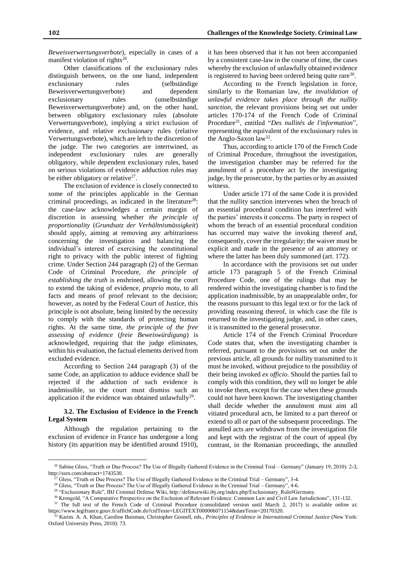*Beweisverwertungsverbote*), especially in cases of a manifest violation of rights<sup>26</sup>.

Other classifications of the exclusionary rules distinguish between, on the one hand, independent exclusionary rules (selbständige Beweisverwertungsverbote) and dependent exclusionary rules (unselbständige Beweisverwertungsverbote) and, on the other hand, between obligatory exclusionary rules (absolute Verwertungsverbote), implying a strict exclusion of evidence, and relative exclusionary rules (relative Verwertungsverbote), which are left to the discretion of the judge. The two categories are intertwined, as independent exclusionary rules are generally obligatory, while dependent exclusionary rules, based on serious violations of evidence adduction rules may be either obligatory or relative<sup>27</sup>.

The exclusion of evidence is closely connected to some of the principles applicable in the German criminal proceedings, as indicated in the literature<sup>28</sup>: the case-law acknowledges a certain margin of discretion in assessing whether *the principle of proportionality* (*Grundsatz der Verhältnismässigkeit*) should apply, aiming at removing any arbitrariness concerning the investigation and balancing the individual's interest of exercising the constitutional right to privacy with the public interest of fighting crime. Under Section 244 paragraph (2) of the German Code of Criminal Procedure, *the principle of establishing the truth* is enshrined, allowing the court to extend the taking of evidence, *proprio motu*, to all facts and means of proof relevant to the decision; however, as noted by the Federal Court of Justice, this principle is not absolute, being limited by the necessity to comply with the standards of protecting human rights. At the same time, *the principle of the free assessing of evidence* (*freie Beweiswürdigung*) is acknowledged, requiring that the judge eliminates, within his evaluation, the factual elements derived from excluded evidence.

According to Section 244 paragraph (3) of the same Code, an application to adduce evidence shall be rejected if the adduction of such evidence is inadmissible, so the court must dismiss such an application if the evidence was obtained unlawfully<sup>29</sup>.

#### **3.2. The Exclusion of Evidence in the French Legal System**

Although the regulation pertaining to the exclusion of evidence in France has undergone a long history (its apparition may be identified around 1910),

 $\overline{a}$ 

it has been observed that it has not been accompanied by a consistent case-law in the course of time, the cases whereby the exclusion of unlawfully obtained evidence is registered to having been ordered being quite rare<sup>30</sup>.

According to the French legislation in force, similarly to the Romanian law, *the invalidation of unlawful evidence takes place through the nullity sanction*, the relevant provisions being set out under articles 170-174 of the French Code of Criminal Procedure<sup>31</sup>, entitled "*Des nullités de l'information*", representing the equivalent of the exclusionary rules in the Anglo-Saxon law<sup>32</sup>.

Thus, according to article 170 of the French Code of Criminal Procedure, throughout the investigation, the investigation chamber may be referred for the annulment of a procedure act by the investigating judge, by the prosecutor, by the parties or by an assisted witness.

Under article 171 of the same Code it is provided that the nullity sanction intervenes when the breach of an essential procedural condition has interfered with the parties' interests it concerns. The party in respect of whom the breach of an essential procedural condition has occurred may waive the invoking thereof and, consequently, cover the irregularity; the waiver must be explicit and made in the presence of an attorney or where the latter has been duly summoned (art. 172).

In accordance with the provisions set out under article 173 paragraph 5 of the French Criminal Procedure Code, one of the rulings that may be rendered within the investigating chamber is to find the application inadmissible, by an unappealable order, for the reasons pursuant to this legal text or for the lack of providing reasoning thereof, in which case the file is returned to the investigating judge, and, in other cases, it is transmitted to the general prosecutor.

Article 174 of the French Criminal Procedure Code states that, when the investigating chamber is referred, pursuant to the provisions set out under the previous article, all grounds for nullity transmitted to it must be invoked, without prejudice to the possibility of their being invoked *ex officio*. Should the parties fail to comply with this condition, they will no longer be able to invoke them, except for the case when these grounds could not have been known. The investigating chamber shall decide whether the annulment must aim all vitiated procedural acts, be limited to a part thereof or extend to all or part of the subsequent proceedings. The annulled acts are withdrawn from the investigation file and kept with the registrar of the court of appeal (by contrast, in the Romanian proceedings, the annulled

<sup>&</sup>lt;sup>26</sup> Sabine Gless, "Truth or Due Process? The Use of Illegally Gathered Evidence in the Criminal Trial – Germany" (January 19, 2010): 2-3, http://ssrn.com/abstract=1743530.

<sup>27</sup> Gless, "Truth or Due Process? The Use of Illegally Gathered Evidence in the Criminal Trial – Germany", 3-4.

<sup>&</sup>lt;sup>28</sup> Gless, "Truth or Due Process? The Use of Illegally Gathered Evidence in the Criminal Trial – Germany", 4-6.

<sup>29</sup> "Exclusionary Rule", IBJ Criminal Defense Wiki, http://defensewiki.ibj.org/index.php/Exclusionary\_Rule#Germany.

<sup>30</sup> Krongold, "A Comparative Perspective on the Exclusion of Relevant Evidence: Common Law and Civil Law Jurisdictions", 131-132.

<sup>&</sup>lt;sup>31</sup> The full text of the French Code of Criminal Procedure (consolidated version until March 2, 2017) is available online at: https://www.legifrance.gouv.fr/affichCode.do?cidTexte=LEGITEXT000006071154&dateTexte=20170320.

<sup>32</sup> Karim. A. A. Khan, Caroline Buisman, Christopher Gosnell, eds., *Principles of Evidence in International Criminal Justice* (New York: Oxford University Press, 2010): 73.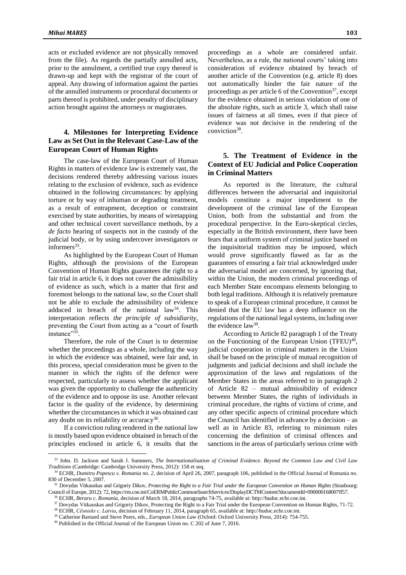acts or excluded evidence are not physically removed from the file). As regards the partially annulled acts, prior to the annulment, a certified true copy thereof is drawn-up and kept with the registrar of the court of appeal. Any drawing of information against the parties of the annulled instruments or procedural documents or parts thereof is prohibited, under penalty of disciplinary action brought against the attorneys or magistrates.

### **4. Milestones for Interpreting Evidence Law as Set Out in the Relevant Case-Law of the European Court of Human Rights**

The case-law of the European Court of Human Rights in matters of evidence law is extremely vast, the decisions rendered thereby addressing various issues relating to the exclusion of evidence, such as evidence obtained in the following circumstances: by applying torture or by way of inhuman or degrading treatment, as a result of entrapment, deception or constraint exercised by state authorities, by means of wiretapping and other technical covert surveillance methods, by a *de facto* hearing of suspects not in the custody of the judicial body, or by using undercover investigators or informers<sup>33</sup>.

As highlighted by the European Court of Human Rights, although the provisions of the European Convention of Human Rights guarantees the right to a fair trial in article 6, it does not cover the admissibility of evidence as such, which is a matter that first and foremost belongs to the national law, so the Court shall not be able to exclude the admissibility of evidence adduced in breach of the national law<sup>34</sup>. This interpretation reflects *the principle of subsidiarity*, preventing the Court from acting as a "court of fourth instance"35 .

Therefore, the role of the Court is to determine whether the proceedings as a whole, including the way in which the evidence was obtained, were fair and, in this process, special consideration must be given to the manner in which the rights of the defence were respected, particularly to assess whether the applicant was given the opportunity to challenge the authenticity of the evidence and to oppose its use. Another relevant factor is the quality of the evidence, by determining whether the circumstances in which it was obtained cast any doubt on its reliability or accuracy<sup>36</sup>.

If a conviction ruling rendered in the national law is mostly based upon evidence obtained in breach of the principles enclosed in article 6, it results that the

 $\overline{a}$ 

proceedings as a whole are considered unfair. Nevertheless, as a rule, the national courts' taking into consideration of evidence obtained by breach of another article of the Convention (e.g. article 8) does not automatically hinder the fair nature of the proceedings as per article 6 of the Convention<sup>37</sup>, except for the evidence obtained in serious violation of one of the absolute rights, such as article 3, which shall raise issues of fairness at all times, even if that piece of evidence was not decisive in the rendering of the conviction<sup>38</sup>.

## **5. The Treatment of Evidence in the Context of EU Judicial and Police Cooperation in Criminal Matters**

As reported in the literature, the cultural differences between the adversarial and inquisitorial models constitute a major impediment to the development of the criminal law of the European Union, both from the substantial and from the procedural perspective. In the Euro-skeptical circles, especially in the British environment, there have been fears that a uniform system of criminal justice based on the inquisitorial tradition may be imposed, which would prove significantly flawed as far as the guarantees of ensuring a fair trial acknowledged under the adversarial model are concerned, by ignoring that, within the Union, the modern criminal proceedings of each Member State encompass elements belonging to both legal traditions. Although it is relatively premature to speak of a European criminal procedure, it cannot be denied that the EU law has a deep influence on the regulations of the national legal systems, including over the evidence law<sup>39</sup>.

According to Article 82 paragraph 1 of the Treaty on the Functioning of the European Union  $(TFEU)^{40}$ , judicial cooperation in criminal matters in the Union shall be based on the principle of mutual recognition of judgments and judicial decisions and shall include the approximation of the laws and regulations of the Member States in the areas referred to in paragraph 2 of Article 82 – mutual admissibility of evidence between Member States, the rights of individuals in criminal procedure, the rights of victims of crime, and any other specific aspects of criminal procedure which the Council has identified in advance by a decision – as well as in Article 83, referring to minimum rules concerning the definition of criminal offences and sanctions in the areas of particularly serious crime with

<sup>33</sup> John. D. Jackson and Sarah J. Summers, *The Internationalisation of Criminal Evidence. Beyond the Common Law and Civil Law Traditions* (Cambridge: Cambridge University Press, 2012): 158 et seq.

<sup>34</sup> ECHR, *Dumitru Popescu v. Romania no. 2*, decision of April 26, 2007, paragraph 106, published in the Official Journal of Romania no. 830 of December 5, 2007.

<sup>&</sup>lt;sup>35</sup> Dovydas Vitkauskas and Grigoriy Dikov, Protecting the Right to a Fair Trial under the European Convention on Human Rights (Strasbourg: Council of Europe, 2012): 72, https://rm.coe.int/CoERMPublicCommonSearchServices/DisplayDCTMContent?documentId=090000168007ff57.

<sup>36</sup> ECHR, *Beraru c. Romania*, decision of March 18, 2014, paragraphs 74-75, available at: http://hudoc.echr.coe.int.

<sup>&</sup>lt;sup>37</sup> Dovydas Vitkauskas and Grigoriy Dikov, Protecting the Right to a Fair Trial under the European Convention on Human Rights, 71-72.

<sup>38</sup> ECHR, *Cēsnieks c. Latvia*, decision of February 11, 2014, paragraph 65, available at: http://hudoc.echr.coe.int.

<sup>39</sup> Catherine Barnard and Steve Peers, eds., *European Union Law* (Oxford: Oxford University Press, 2014): 754-755.

<sup>40</sup> Published in the Official Journal of the European Union no. C 202 of June 7, 2016.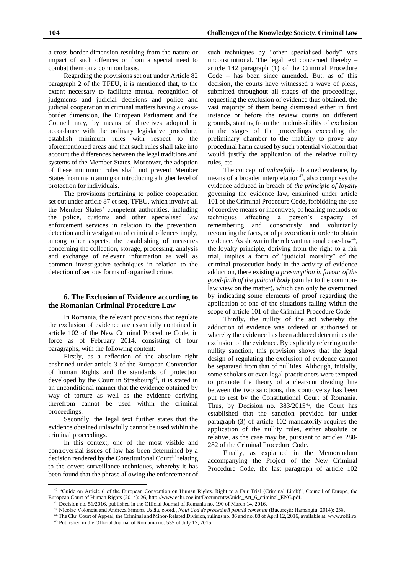a cross-border dimension resulting from the nature or impact of such offences or from a special need to combat them on a common basis.

Regarding the provisions set out under Article 82 paragraph 2 of the TFEU, it is mentioned that, to the extent necessary to facilitate mutual recognition of judgments and judicial decisions and police and judicial cooperation in criminal matters having a crossborder dimension, the European Parliament and the Council may, by means of directives adopted in accordance with the ordinary legislative procedure, establish minimum rules with respect to the aforementioned areas and that such rules shall take into account the differences between the legal traditions and systems of the Member States. Moreover, the adoption of these minimum rules shall not prevent Member States from maintaining or introducing a higher level of protection for individuals.

The provisions pertaining to police cooperation set out under article 87 et seq. TFEU, which involve all the Member States' competent authorities, including the police, customs and other specialised law enforcement services in relation to the prevention, detection and investigation of criminal offences imply, among other aspects, the establishing of measures concerning the collection, storage, processing, analysis and exchange of relevant information as well as common investigative techniques in relation to the detection of serious forms of organised crime.

### **6. The Exclusion of Evidence according to the Romanian Criminal Procedure Law**

In Romania, the relevant provisions that regulate the exclusion of evidence are essentially contained in article 102 of the New Criminal Procedure Code, in force as of February 2014, consisting of four paragraphs, with the following content:

Firstly, as a reflection of the absolute right enshrined under article 3 of the European Convention of human Rights and the standards of protection developed by the Court in Strasbourg<sup>41</sup>, it is stated in an unconditional manner that the evidence obtained by way of torture as well as the evidence deriving therefrom cannot be used within the criminal proceedings.

Secondly, the legal text further states that the evidence obtained unlawfully cannot be used within the criminal proceedings.

In this context, one of the most visible and controversial issues of law has been determined by a decision rendered by the Constitutional Court<sup>42</sup> relating to the covert surveillance techniques, whereby it has been found that the phrase allowing the enforcement of

 $\overline{a}$ 

such techniques by "other specialised body" was unconstitutional. The legal text concerned thereby – article 142 paragraph (1) of the Criminal Procedure Code – has been since amended. But, as of this decision, the courts have witnessed a wave of pleas, submitted throughout all stages of the proceedings, requesting the exclusion of evidence thus obtained, the vast majority of them being dismissed either in first instance or before the review courts on different grounds, starting from the inadmissibility of exclusion in the stages of the proceedings exceeding the preliminary chamber to the inability to prove any procedural harm caused by such potential violation that would justify the application of the relative nullity rules, etc.

The concept of *unlawfully* obtained evidence, by means of a broader interpretation<sup>43</sup>, also comprises the evidence adduced in breach of *the principle of loyalty* governing the evidence law, enshrined under article 101 of the Criminal Procedure Code, forbidding the use of coercive means or incentives, of hearing methods or techniques affecting a person's capacity of remembering and consciously and voluntarily recounting the facts, or of provocation in order to obtain evidence. As shown in the relevant national case-law<sup>44</sup>, the loyalty principle, deriving from the right to a fair trial, implies a form of "judicial morality" of the criminal prosecution body in the activity of evidence adduction, there existing *a presumption in favour of the good-faith of the judicial body* (similar to the commonlaw view on the matter), which can only be overturned by indicating some elements of proof regarding the application of one of the situations falling within the scope of article 101 of the Criminal Procedure Code.

Thirdly, the nullity of the act whereby the adduction of evidence was ordered or authorised or whereby the evidence has been adduced determines the exclusion of the evidence. By explicitly referring to the nullity sanction, this provision shows that the legal design of regulating the exclusion of evidence cannot be separated from that of nullities. Although, initially, some scholars or even legal practitioners were tempted to promote the theory of a clear-cut dividing line between the two sanctions, this controversy has been put to rest by the Constitutional Court of Romania. Thus, by Decision no.  $383/2015^{45}$ , the Court has established that the sanction provided for under paragraph (3) of article 102 mandatorily requires the application of the nullity rules, either absolute or relative, as the case may be, pursuant to articles 280- 282 of the Criminal Procedure Code.

Finally, as explained in the Memorandum accompanying the Project of the New Criminal Procedure Code, the last paragraph of article 102

<sup>&</sup>lt;sup>41</sup> "Guide on Article 6 of the European Convention on Human Rights. Right to a Fair Trial (Criminal Limb)", Council of Europe, the European Court of Human Rights (2014): 26, http://www.echr.coe.int/Documents/Guide\_Art\_6\_criminal\_ENG.pdf.

<sup>&</sup>lt;sup>42</sup> Decision no. 51/2016, published in the Official Journal of Romania no. 190 of March 14, 2016.

<sup>43</sup> Nicolae Volonciu and Andreea Simona Uzlău, coord., *Noul Cod de procedură penală comentat* (București: Hamangiu, 2014): 238.

<sup>44</sup> The Cluj Court of Appeal, the Criminal and Minor-Related Division, rulings no. 86 and no. 88 of April 12, 2016, available at: www.rolii.ro.

<sup>45</sup> Published in the Official Journal of Romania no. 535 of July 17, 2015.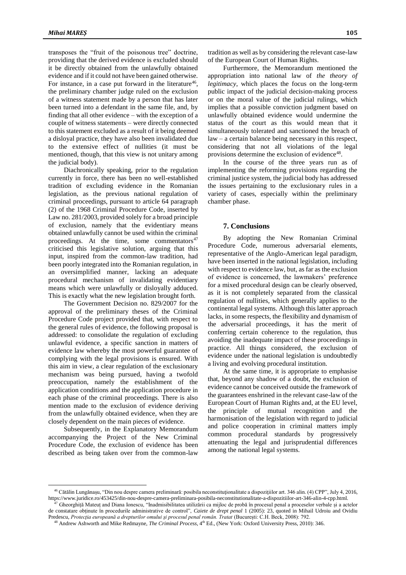transposes the "fruit of the poisonous tree" doctrine, providing that the derived evidence is excluded should it be directly obtained from the unlawfully obtained evidence and if it could not have been gained otherwise. For instance, in a case put forward in the literature<sup>46</sup>, the preliminary chamber judge ruled on the exclusion of a witness statement made by a person that has later been turned into a defendant in the same file, and, by finding that all other evidence – with the exception of a couple of witness statements – were directly connected to this statement excluded as a result of it being deemed a disloyal practice, they have also been invalidated due to the extensive effect of nullities (it must be mentioned, though, that this view is not unitary among the judicial body).

Diachronically speaking, prior to the regulation currently in force, there has been no well-established tradition of excluding evidence in the Romanian legislation, as the previous national regulation of criminal proceedings, pursuant to article 64 paragraph (2) of the 1968 Criminal Procedure Code, inserted by Law no. 281/2003, provided solely for a broad principle of exclusion, namely that the evidentiary means obtained unlawfully cannot be used within the criminal proceedings. At the time, some commentators $47$ criticised this legislative solution, arguing that this input, inspired from the common-law tradition, had been poorly integrated into the Romanian regulation, in an oversimplified manner, lacking an adequate procedural mechanism of invalidating evidentiary means which were unlawfully or disloyally adduced. This is exactly what the new legislation brought forth.

The Government Decision no. 829/2007 for the approval of the preliminary theses of the Criminal Procedure Code project provided that, with respect to the general rules of evidence, the following proposal is addressed: to consolidate the regulation of excluding unlawful evidence, a specific sanction in matters of evidence law whereby the most powerful guarantee of complying with the legal provisions is ensured. With this aim in view, a clear regulation of the exclusionary mechanism was being pursued, having a twofold preoccupation, namely the establishment of the application conditions and the application procedure in each phase of the criminal proceedings. There is also mention made to the exclusion of evidence deriving from the unlawfully obtained evidence, when they are closely dependent on the main pieces of evidence.

Subsequently, in the Explanatory Memorandum accompanying the Project of the New Criminal Procedure Code, the exclusion of evidence has been described as being taken over from the common-law

 $\overline{a}$ 

tradition as well as by considering the relevant case-law of the European Court of Human Rights.

Furthermore, the Memorandum mentioned the appropriation into national law of *the theory of legitimacy*, which places the focus on the long-term public impact of the judicial decision-making process or on the moral value of the judicial rulings, which implies that a possible conviction judgment based on unlawfully obtained evidence would undermine the status of the court as this would mean that it simultaneously tolerated and sanctioned the breach of law – a certain balance being necessary in this respect, considering that not all violations of the legal provisions determine the exclusion of evidence<sup>48</sup>.

In the course of the three years run as of implementing the reforming provisions regarding the criminal justice system, the judicial body has addressed the issues pertaining to the exclusionary rules in a variety of cases, especially within the preliminary chamber phase.

#### **7. Conclusions**

By adopting the New Romanian Criminal Procedure Code, numerous adversarial elements, representative of the Anglo-American legal paradigm, have been inserted in the national legislation, including with respect to evidence law, but, as far as the exclusion of evidence is concerned, the lawmakers' preference for a mixed procedural design can be clearly observed, as it is not completely separated from the classical regulation of nullities, which generally applies to the continental legal systems. Although this latter approach lacks, in some respects, the flexibility and dynamism of the adversarial proceedings, it has the merit of conferring certain coherence to the regulation, thus avoiding the inadequate impact of these proceedings in practice. All things considered, the exclusion of evidence under the national legislation is undoubtedly a living and evolving procedural institution.

At the same time, it is appropriate to emphasise that, beyond any shadow of a doubt, the exclusion of evidence cannot be conceived outside the framework of the guarantees enshrined in the relevant case-law of the European Court of Human Rights and, at the EU level, the principle of mutual recognition and the harmonisation of the legislation with regard to judicial and police cooperation in criminal matters imply common procedural standards by progressively attenuating the legal and jurisprudential differences among the national legal systems.

<sup>46</sup> Cătălin Lungănașu, "Din nou despre camera preliminară: posibila neconstituţionalitate a dispoziţiilor art. 346 alin. (4) CPP", July 4, 2016, https://www.juridice.ro/453425/din-nou-despre-camera-preliminara-posibila-neconstitutionalitate-a-dispozitiilor-art-346-alin-4-cpp.html.

<sup>47</sup> Gheorghiță Mateuț and Diana Ionescu, "Inadmisibilitatea utilizării ca mijloc de probă în procesul penal a proceselor verbale și a actelor de constatare obținute în procedurile administrative de control", *Caiete de drept penal* 1 (2005): 23, quoted in Mihail Udroiu and Ovidiu Predescu, *Protecţia europeană a drepturilor omului şi procesul penal român. Tratat* (București: C.H. Beck, 2008): 792.

<sup>&</sup>lt;sup>48</sup> Andrew Ashworth and Mike Redmayne, *The Criminal Process*, 4<sup>th</sup> Ed., (New York: Oxford University Press, 2010): 346.